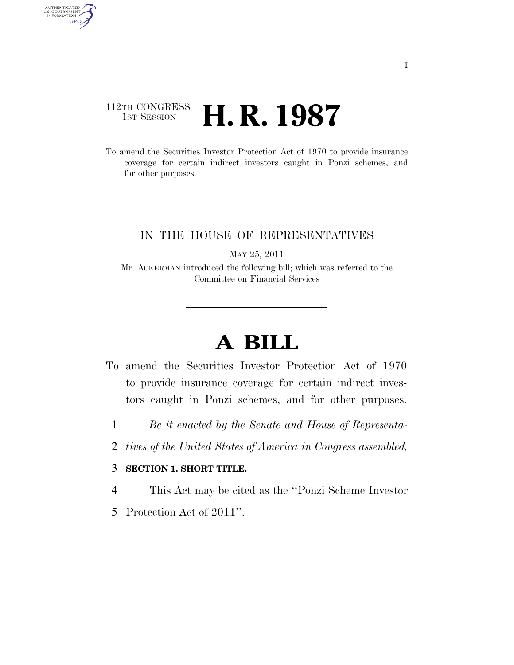# 112TH CONGRESS <sup>TH CONGRESS</sup> **H. R. 1987**

AUTHENTICATED<br>U.S. GOVERNMENT<br>INFORMATION GPO

> To amend the Securities Investor Protection Act of 1970 to provide insurance coverage for certain indirect investors caught in Ponzi schemes, and for other purposes.

## IN THE HOUSE OF REPRESENTATIVES

MAY 25, 2011

Mr. ACKERMAN introduced the following bill; which was referred to the Committee on Financial Services

# **A BILL**

- To amend the Securities Investor Protection Act of 1970 to provide insurance coverage for certain indirect investors caught in Ponzi schemes, and for other purposes.
	- 1 *Be it enacted by the Senate and House of Representa-*
	- 2 *tives of the United States of America in Congress assembled,*

# 3 **SECTION 1. SHORT TITLE.**

- 4 This Act may be cited as the ''Ponzi Scheme Investor
- 5 Protection Act of 2011''.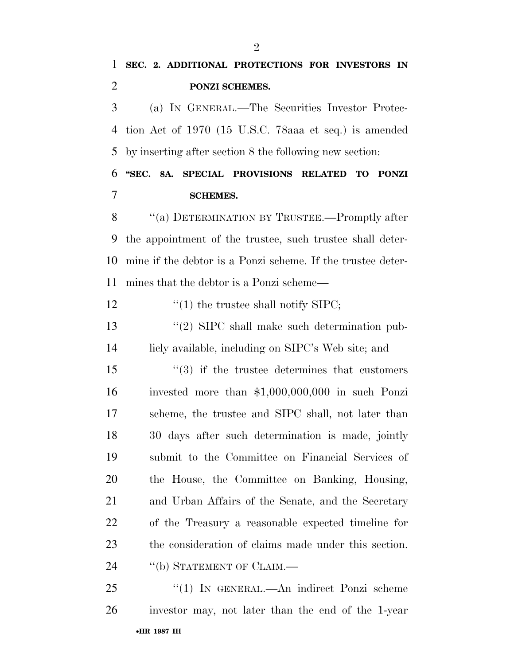**PONZI SCHEMES.** 

 (a) IN GENERAL.—The Securities Investor Protec- tion Act of 1970 (15 U.S.C. 78aaa et seq.) is amended by inserting after section 8 the following new section:

 **''SEC. 8A. SPECIAL PROVISIONS RELATED TO PONZI SCHEMES.** 

8 "(a) DETERMINATION BY TRUSTEE.—Promptly after the appointment of the trustee, such trustee shall deter- mine if the debtor is a Ponzi scheme. If the trustee deter-mines that the debtor is a Ponzi scheme—

12  $\frac{1}{2}$   $\frac{1}{2}$  the trustee shall notify SIPC;

13 ''(2) SIPC shall make such determination pub-licly available, including on SIPC's Web site; and

15 ''(3) if the trustee determines that customers invested more than \$1,000,000,000 in such Ponzi scheme, the trustee and SIPC shall, not later than 30 days after such determination is made, jointly submit to the Committee on Financial Services of the House, the Committee on Banking, Housing, and Urban Affairs of the Senate, and the Secretary of the Treasury a reasonable expected timeline for the consideration of claims made under this section. 24 "(b) STATEMENT OF CLAIM.—

•**HR 1987 IH** 25 "(1) In GENERAL.—An indirect Ponzi scheme investor may, not later than the end of the 1-year

 $\mathfrak{D}$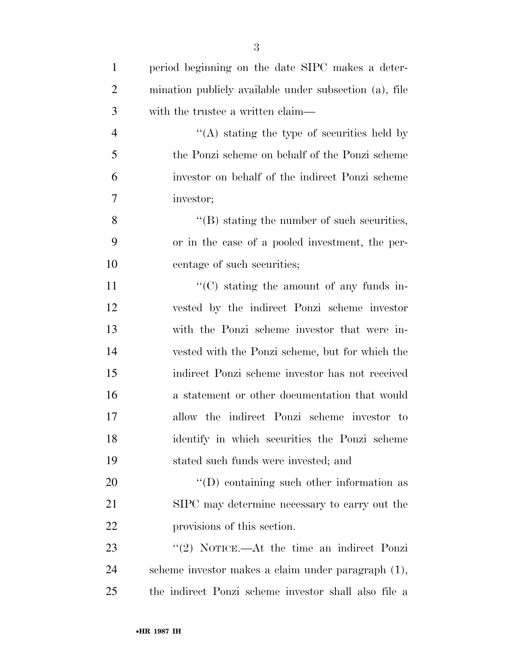| $\mathbf{1}$   | period beginning on the date SIPC makes a deter-       |
|----------------|--------------------------------------------------------|
| $\overline{2}$ | mination publicly available under subsection (a), file |
| 3              | with the trustee a written claim—                      |
| $\overline{4}$ | $\cdot$ (A) stating the type of securities held by     |
| 5              | the Ponzi scheme on behalf of the Ponzi scheme         |
| 6              | investor on behalf of the indirect Ponzi scheme        |
| 7              | investor;                                              |
| 8              | $\lq\lq (B)$ stating the number of such securities,    |
| 9              | or in the case of a pooled investment, the per-        |
| 10             | centage of such securities;                            |
| 11             | $\lq\lq$ stating the amount of any funds in-           |
| 12             | vested by the indirect Ponzi scheme investor           |
| 13             | with the Ponzi scheme investor that were in-           |
| 14             | vested with the Ponzi scheme, but for which the        |
| 15             | indirect Ponzi scheme investor has not received        |
| 16             | a statement or other documentation that would          |
| 17             | allow the indirect Ponzi scheme investor to            |
| 18             | identify in which securities the Ponzi scheme          |
| 19             | stated such funds were invested; and                   |
| 20             | $\lq\lq$ containing such other information as          |
| 21             | SIPC may determine necessary to carry out the          |
| 22             | provisions of this section.                            |
| 23             | "(2) NOTICE.—At the time an indirect Ponzi             |
| 24             | scheme investor makes a claim under paragraph (1),     |
| 25             | the indirect Ponzi scheme investor shall also file a   |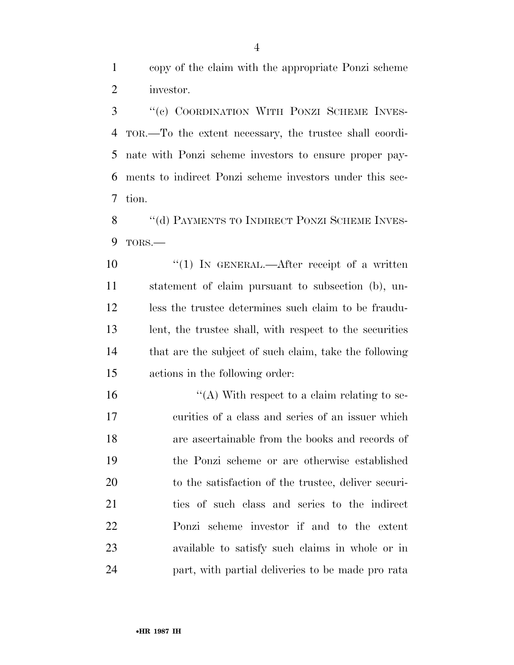copy of the claim with the appropriate Ponzi scheme investor.

 ''(c) COORDINATION WITH PONZI SCHEME INVES- TOR.—To the extent necessary, the trustee shall coordi- nate with Ponzi scheme investors to ensure proper pay- ments to indirect Ponzi scheme investors under this sec-tion.

8 "(d) PAYMENTS TO INDIRECT PONZI SCHEME INVES-TORS.—

10 "(1) IN GENERAL.—After receipt of a written statement of claim pursuant to subsection (b), un- less the trustee determines such claim to be fraudu- lent, the trustee shall, with respect to the securities 14 that are the subject of such claim, take the following actions in the following order:

 $\langle A \rangle$  With respect to a claim relating to se- curities of a class and series of an issuer which are ascertainable from the books and records of the Ponzi scheme or are otherwise established to the satisfaction of the trustee, deliver securi- ties of such class and series to the indirect Ponzi scheme investor if and to the extent available to satisfy such claims in whole or in part, with partial deliveries to be made pro rata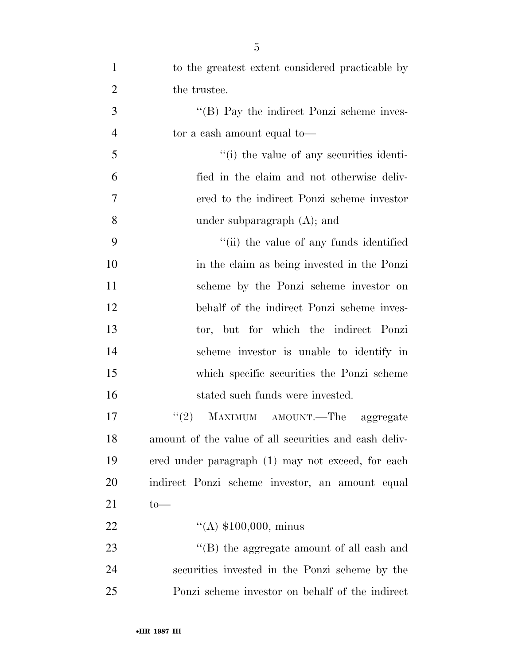| $\mathbf{1}$   | to the greatest extent considered practicable by      |
|----------------|-------------------------------------------------------|
| $\overline{2}$ | the trustee.                                          |
| 3              | "(B) Pay the indirect Ponzi scheme inves-             |
| $\overline{4}$ | to to a cash amount equal to —                        |
| 5              | "(i) the value of any securities identi-              |
| 6              | fied in the claim and not otherwise deliv-            |
| $\tau$         | ered to the indirect Ponzi scheme investor            |
| 8              | under subparagraph $(A)$ ; and                        |
| 9              | "(ii) the value of any funds identified               |
| 10             | in the claim as being invested in the Ponzi           |
| 11             | scheme by the Ponzi scheme investor on                |
| 12             | behalf of the indirect Ponzi scheme inves-            |
| 13             | tor, but for which the indirect Ponzi                 |
| 14             | scheme investor is unable to identify in              |
| 15             | which specific securities the Ponzi scheme            |
| 16             | stated such funds were invested.                      |
| 17             | MAXIMUM AMOUNT.—The aggregate<br>(2)                  |
| 18             | amount of the value of all securities and cash deliv- |
| 19             | ered under paragraph (1) may not exceed, for each     |
| 20             | indirect Ponzi scheme investor, an amount equal       |
| 21             | $to-$                                                 |
| 22             | $\lq (A) \; \$100,000, \; \text{minus}$               |
| 23             | "(B) the aggregate amount of all cash and             |
| 24             | securities invested in the Ponzi scheme by the        |
| 25             | Ponzi scheme investor on behalf of the indirect       |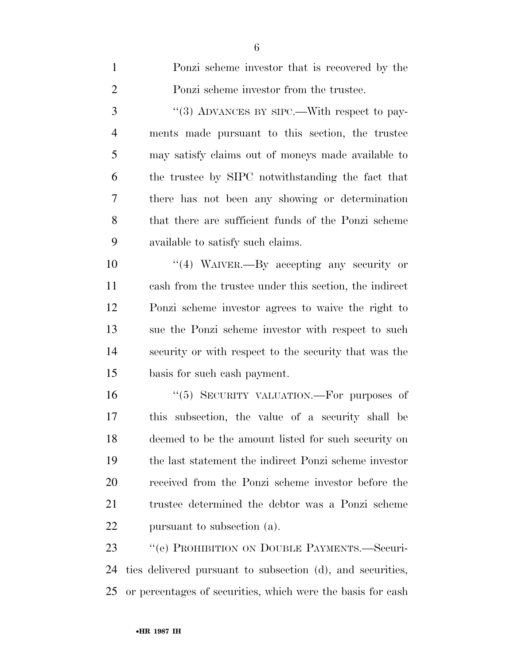| $\mathbf{1}$   | Ponzi scheme investor that is recovered by the              |
|----------------|-------------------------------------------------------------|
| $\overline{2}$ | Ponzi scheme investor from the trustee.                     |
| 3              | "(3) ADVANCES BY SIPC.—With respect to pay-                 |
| $\overline{4}$ | ments made pursuant to this section, the trustee            |
| 5              | may satisfy claims out of moneys made available to          |
| 6              | the trustee by SIPC notwithstanding the fact that           |
| 7              | there has not been any showing or determination             |
| 8              | that there are sufficient funds of the Ponzi scheme         |
| 9              | available to satisfy such claims.                           |
| 10             | "(4) WAIVER.—By accepting any security or                   |
| 11             | cash from the trustee under this section, the indirect      |
| 12             | Ponzi scheme investor agrees to waive the right to          |
| 13             | sue the Ponzi scheme investor with respect to such          |
| 14             | security or with respect to the security that was the       |
| 15             | basis for such eash payment.                                |
| 16             | "(5) SECURITY VALUATION.—For purposes of                    |
| 17             | this subsection, the value of a security shall be           |
| 18             | deemed to be the amount listed for such security on         |
| 19             | the last statement the indirect Ponzi scheme investor       |
| 20             | received from the Ponzi scheme investor before the          |
| 21             | trustee determined the debtor was a Ponzi scheme            |
| 22             | pursuant to subsection (a).                                 |
| 23             | "(e) PROHIBITION ON DOUBLE PAYMENTS.—Securi-                |
| 24             | ties delivered pursuant to subsection (d), and securities,  |
| 25             | or percentages of securities, which were the basis for cash |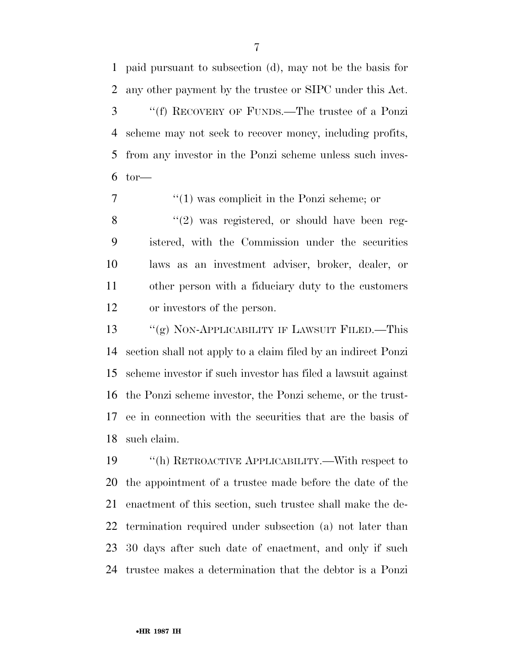paid pursuant to subsection (d), may not be the basis for any other payment by the trustee or SIPC under this Act. ''(f) RECOVERY OF FUNDS.—The trustee of a Ponzi scheme may not seek to recover money, including profits, from any investor in the Ponzi scheme unless such inves- $6 \text{tor}$ —

 ''(1) was complicit in the Ponzi scheme; or  $\frac{8}{2}$  ''(2) was registered, or should have been reg- istered, with the Commission under the securities laws as an investment adviser, broker, dealer, or other person with a fiduciary duty to the customers or investors of the person.

 ''(g) NON-APPLICABILITY IF LAWSUIT FILED.—This section shall not apply to a claim filed by an indirect Ponzi scheme investor if such investor has filed a lawsuit against the Ponzi scheme investor, the Ponzi scheme, or the trust- ee in connection with the securities that are the basis of such claim.

 ''(h) RETROACTIVE APPLICABILITY.—With respect to the appointment of a trustee made before the date of the enactment of this section, such trustee shall make the de- termination required under subsection (a) not later than 30 days after such date of enactment, and only if such trustee makes a determination that the debtor is a Ponzi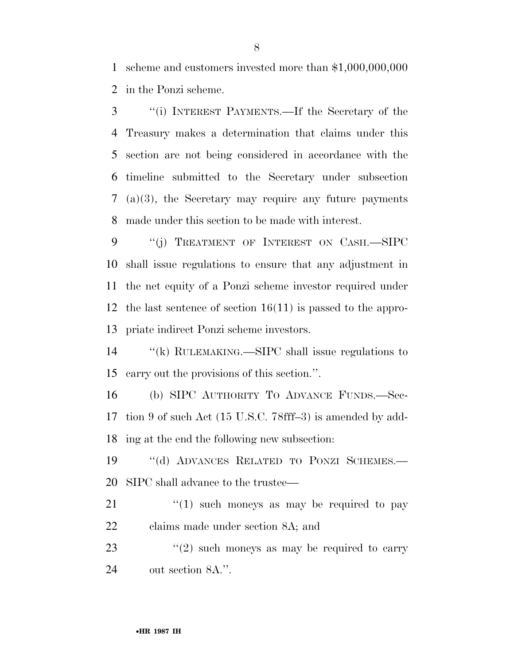scheme and customers invested more than \$1,000,000,000 in the Ponzi scheme.

 ''(i) INTEREST PAYMENTS.—If the Secretary of the Treasury makes a determination that claims under this section are not being considered in accordance with the timeline submitted to the Secretary under subsection (a)(3), the Secretary may require any future payments made under this section to be made with interest.

9 "(j) TREATMENT OF INTEREST ON CASH.—SIPC shall issue regulations to ensure that any adjustment in the net equity of a Ponzi scheme investor required under the last sentence of section 16(11) is passed to the appro-priate indirect Ponzi scheme investors.

14 "(k) RULEMAKING.—SIPC shall issue regulations to carry out the provisions of this section.''.

 (b) SIPC AUTHORITY TO ADVANCE FUNDS.—Sec- tion 9 of such Act (15 U.S.C. 78fff–3) is amended by add-ing at the end the following new subsection:

 ''(d) ADVANCES RELATED TO PONZI SCHEMES.— SIPC shall advance to the trustee—

 ''(1) such moneys as may be required to pay claims made under section 8A; and

23  $(2)$  such moneys as may be required to carry out section 8A.''.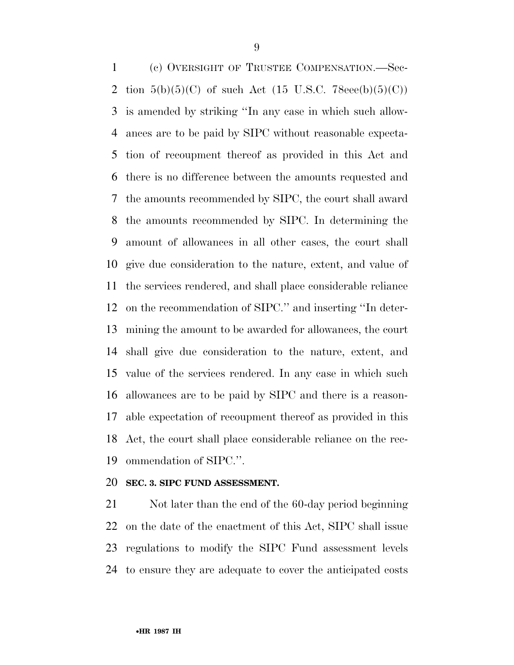(c) OVERSIGHT OF TRUSTEE COMPENSATION.—Sec-2 tion  $5(b)(5)(C)$  of such Act (15 U.S.C. 78eee(b)(5)(C)) is amended by striking ''In any case in which such allow- ances are to be paid by SIPC without reasonable expecta- tion of recoupment thereof as provided in this Act and there is no difference between the amounts requested and the amounts recommended by SIPC, the court shall award the amounts recommended by SIPC. In determining the amount of allowances in all other cases, the court shall give due consideration to the nature, extent, and value of the services rendered, and shall place considerable reliance on the recommendation of SIPC.'' and inserting ''In deter- mining the amount to be awarded for allowances, the court shall give due consideration to the nature, extent, and value of the services rendered. In any case in which such allowances are to be paid by SIPC and there is a reason- able expectation of recoupment thereof as provided in this Act, the court shall place considerable reliance on the rec-ommendation of SIPC.''.

#### **SEC. 3. SIPC FUND ASSESSMENT.**

 Not later than the end of the 60-day period beginning on the date of the enactment of this Act, SIPC shall issue regulations to modify the SIPC Fund assessment levels to ensure they are adequate to cover the anticipated costs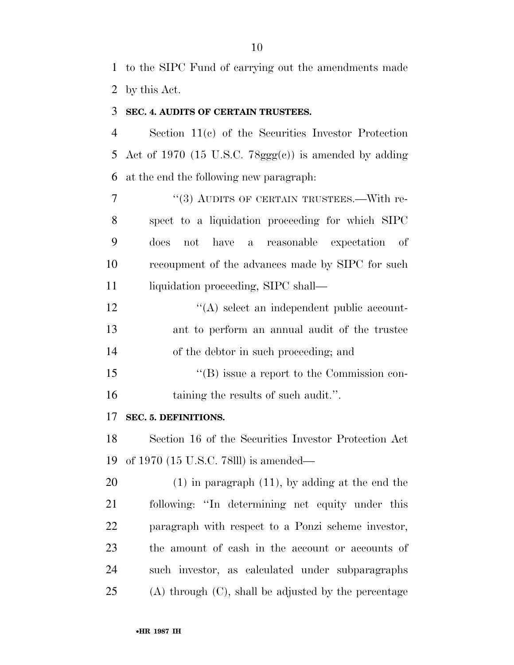to the SIPC Fund of carrying out the amendments made by this Act.

### **SEC. 4. AUDITS OF CERTAIN TRUSTEES.**

 Section 11(c) of the Securities Investor Protection 5 Act of 1970 (15 U.S.C.  $78ggg(c)$ ) is amended by adding at the end the following new paragraph:

7 "(3) AUDITS OF CERTAIN TRUSTEES.—With re- spect to a liquidation proceeding for which SIPC does not have a reasonable expectation of recoupment of the advances made by SIPC for such 11 liquidation proceeding, SIPC shall—

12  $\langle (A) \rangle$  select an independent public account- ant to perform an annual audit of the trustee of the debtor in such proceeding; and

15  $\langle G \rangle$  issue a report to the Commission con-16 taining the results of such audit.".

#### **SEC. 5. DEFINITIONS.**

 Section 16 of the Securities Investor Protection Act of 1970 (15 U.S.C. 78lll) is amended—

 (1) in paragraph (11), by adding at the end the following: ''In determining net equity under this paragraph with respect to a Ponzi scheme investor, the amount of cash in the account or accounts of such investor, as calculated under subparagraphs (A) through (C), shall be adjusted by the percentage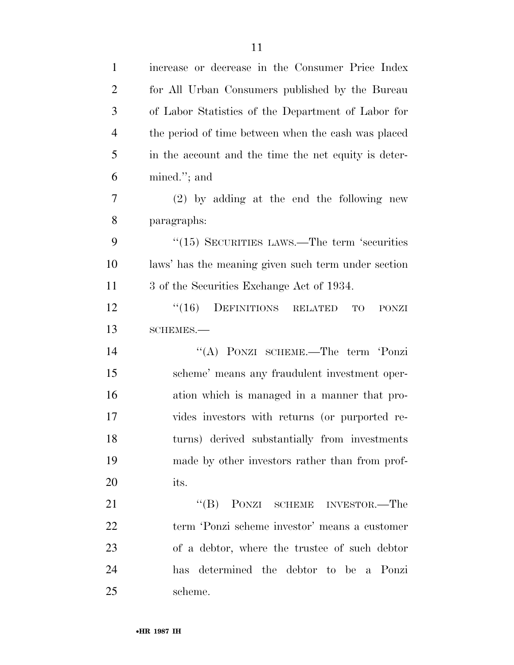| $\mathbf{1}$   | increase or decrease in the Consumer Price Index       |
|----------------|--------------------------------------------------------|
| $\overline{2}$ | for All Urban Consumers published by the Bureau        |
| 3              | of Labor Statistics of the Department of Labor for     |
| $\overline{4}$ | the period of time between when the cash was placed    |
| 5              | in the account and the time the net equity is deter-   |
| 6              | mined."; and                                           |
| 7              | $(2)$ by adding at the end the following new           |
| 8              | paragraphs:                                            |
| 9              | $\cdot\cdot(15)$ SECURITIES LAWS.—The term 'securities |
| 10             | laws' has the meaning given such term under section    |
| 11             | 3 of the Securities Exchange Act of 1934.              |
| 12             | DEFINITIONS RELATED<br>(16)<br>TO<br>PONZI             |
| 13             | SCHEMES.-                                              |
| 14             | "(A) PONZI SCHEME.—The term 'Ponzi                     |
| 15             | scheme' means any fraudulent investment oper-          |
| 16             | ation which is managed in a manner that pro-           |
| 17             | vides investors with returns (or purported re-         |
| 18             | turns) derived substantially from investments          |
| 19             | made by other investors rather than from prof-         |
| 20             | its.                                                   |
| 21             | "(B) PONZI SCHEME INVESTOR.—The                        |
| 22             | term 'Ponzi scheme investor' means a customer          |
| 23             | of a debtor, where the trustee of such debtor          |
| 24             | has determined the debtor to be a Ponzi                |
| 25             | scheme.                                                |